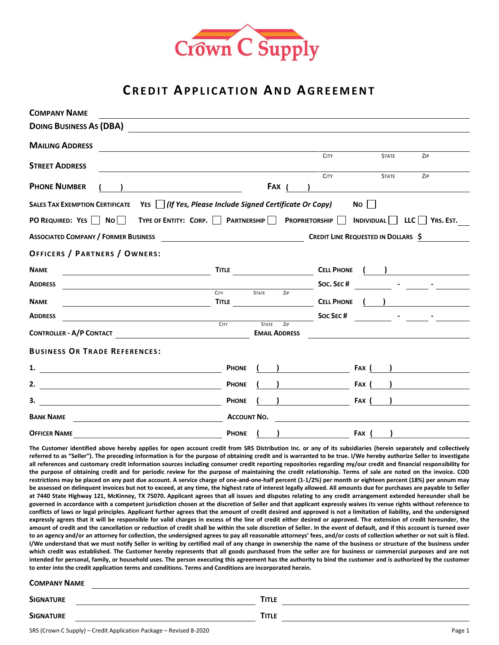

# **CREDIT APPLICATION AND AGREEMENT**

| <b>COMPANY NAME</b>                                                                                                                                                                                                                                                                                                                                                                                                                                                                                                                                                                                                                                                                                                                                                                                                                      |                      |                                             |                                     |                      |              |     |           |
|------------------------------------------------------------------------------------------------------------------------------------------------------------------------------------------------------------------------------------------------------------------------------------------------------------------------------------------------------------------------------------------------------------------------------------------------------------------------------------------------------------------------------------------------------------------------------------------------------------------------------------------------------------------------------------------------------------------------------------------------------------------------------------------------------------------------------------------|----------------------|---------------------------------------------|-------------------------------------|----------------------|--------------|-----|-----------|
| <b>DOING BUSINESS AS (DBA)</b>                                                                                                                                                                                                                                                                                                                                                                                                                                                                                                                                                                                                                                                                                                                                                                                                           |                      |                                             |                                     |                      |              |     |           |
| <b>MAILING ADDRESS</b>                                                                                                                                                                                                                                                                                                                                                                                                                                                                                                                                                                                                                                                                                                                                                                                                                   |                      |                                             |                                     |                      |              |     |           |
| <b>STREET ADDRESS</b>                                                                                                                                                                                                                                                                                                                                                                                                                                                                                                                                                                                                                                                                                                                                                                                                                    |                      |                                             | <b>CITY</b>                         |                      | <b>STATE</b> |     | ZIP       |
| <b>PHONE NUMBER</b>                                                                                                                                                                                                                                                                                                                                                                                                                                                                                                                                                                                                                                                                                                                                                                                                                      |                      | <b>FAX</b>                                  | <b>CITY</b>                         |                      | <b>STATE</b> |     | ZIP       |
| YES   (If Yes, Please Include Signed Certificate Or Copy)<br><b>SALES TAX EXEMPTION CERTIFICATE</b>                                                                                                                                                                                                                                                                                                                                                                                                                                                                                                                                                                                                                                                                                                                                      |                      |                                             |                                     | $No$ $\vert$ $\vert$ |              |     |           |
| PO REQUIRED: YES<br>No <sub>1</sub><br>TYPE OF ENTITY: CORP.                                                                                                                                                                                                                                                                                                                                                                                                                                                                                                                                                                                                                                                                                                                                                                             | <b>PARTNERSHIP</b>   | <b>PROPRIETORSHIP</b>                       |                                     | <b>INDIVIDUAL</b>    |              | LLC | YRS. EST. |
| <b>ASSOCIATED COMPANY / FORMER BUSINESS</b>                                                                                                                                                                                                                                                                                                                                                                                                                                                                                                                                                                                                                                                                                                                                                                                              |                      |                                             | CREDIT LINE REQUESTED IN DOLLARS \$ |                      |              |     |           |
| <b>OFFICERS / PARTNERS / OWNERS:</b>                                                                                                                                                                                                                                                                                                                                                                                                                                                                                                                                                                                                                                                                                                                                                                                                     |                      |                                             |                                     |                      |              |     |           |
| <b>NAME</b>                                                                                                                                                                                                                                                                                                                                                                                                                                                                                                                                                                                                                                                                                                                                                                                                                              | <b>TITLE</b>         |                                             | <b>CELL PHONE</b>                   |                      |              |     |           |
| <b>ADDRESS</b>                                                                                                                                                                                                                                                                                                                                                                                                                                                                                                                                                                                                                                                                                                                                                                                                                           |                      |                                             | Soc. SEC#                           |                      |              |     |           |
| <b>NAME</b>                                                                                                                                                                                                                                                                                                                                                                                                                                                                                                                                                                                                                                                                                                                                                                                                                              | <b>CITY</b><br>TITLE | <b>STATE</b><br>ZIP                         | <b>CELL PHONE</b>                   |                      |              |     |           |
| <b>ADDRESS</b>                                                                                                                                                                                                                                                                                                                                                                                                                                                                                                                                                                                                                                                                                                                                                                                                                           |                      |                                             | <b>SOC SEC#</b>                     |                      |              |     |           |
| <b>CONTROLLER - A/P CONTACT</b>                                                                                                                                                                                                                                                                                                                                                                                                                                                                                                                                                                                                                                                                                                                                                                                                          | <b>CITY</b>          | <b>STATE</b><br>ZIP<br><b>EMAIL ADDRESS</b> |                                     |                      |              |     |           |
| <b>BUSINESS OR TRADE REFERENCES:</b>                                                                                                                                                                                                                                                                                                                                                                                                                                                                                                                                                                                                                                                                                                                                                                                                     |                      |                                             |                                     |                      |              |     |           |
| 1.                                                                                                                                                                                                                                                                                                                                                                                                                                                                                                                                                                                                                                                                                                                                                                                                                                       | <b>PHONE</b>         |                                             |                                     | Fax (                |              |     |           |
| 2.                                                                                                                                                                                                                                                                                                                                                                                                                                                                                                                                                                                                                                                                                                                                                                                                                                       | <b>PHONE</b>         |                                             |                                     | FAX (                |              |     |           |
| 3.                                                                                                                                                                                                                                                                                                                                                                                                                                                                                                                                                                                                                                                                                                                                                                                                                                       | <b>PHONE</b>         |                                             |                                     | FAX                  |              |     |           |
| <b>BANK NAME</b>                                                                                                                                                                                                                                                                                                                                                                                                                                                                                                                                                                                                                                                                                                                                                                                                                         | <b>ACCOUNT NO.</b>   |                                             |                                     |                      |              |     |           |
| <b>OFFICER NAME</b>                                                                                                                                                                                                                                                                                                                                                                                                                                                                                                                                                                                                                                                                                                                                                                                                                      | <b>PHONE</b>         |                                             |                                     | FAX I                |              |     |           |
| The Customer identified above hereby applies for open account credit from SRS Distribution Inc. or any of its subsidiaries (herein separately and collectively<br>referred to as "Seller"). The preceding information is for the purpose of obtaining credit and is warranted to be true. I/We hereby authorize Seller to investigate<br>all references and customary credit information sources including consumer credit reporting repositories regarding my/our credit and financial responsibility for<br>the purpose of obtaining credit and for periodic review for the purpose of maintaining the credit relationship. Terms of sale are noted on the invoice. COD<br>restrictions may be placed on any past due account. A service charge of one-and-one-half percent (1-1/2%) per month or eighteen percent (18%) per annum may |                      |                                             |                                     |                      |              |     |           |

**be assessed on delinquent invoices but not to exceed, at any time, the highest rate of interest legally allowed. All amounts due for purchases are payable to Seller at 7440 State Highway 121, McKinney, TX 75070. Applicant agrees that all issues and disputes relating to any credit arrangement extended hereunder shall be governed in accordance with a competent jurisdiction chosen at the discretion of Seller and that applicant expressly waives its venue rights without reference to conflicts of laws or legal principles. Applicant further agrees that the amount of credit desired and approved is not a limitation of liability, and the undersigned expressly agrees that it will be responsible for valid charges in excess of the line of credit either desired or approved. The extension of credit hereunder, the amount of credit and the cancellation or reduction of credit shall be within the sole discretion of Seller. In the event of default, and if this account is turned over to an agency and/or an attorney for collection, the undersigned agrees to pay all reasonable attorneys' fees, and/or costs of collection whether or not suit is filed. I/We understand that we must notify Seller in writing by certified mail of any change in ownership the name of the business or structure of the business under which credit was established. The Customer hereby represents that all goods purchased from the seller are for business or commercial purposes and are not intended for personal, family, or household uses. The person executing this agreement has the authority to bind the customer and is authorized by the customer to enter into the credit application terms and conditions. Terms and Conditions are incorporated herein.** 

#### **COMPANY NAME**

| <b>SIGNATURE</b> | TITLE |  |
|------------------|-------|--|
| <b>SIGNATURE</b> | TITLE |  |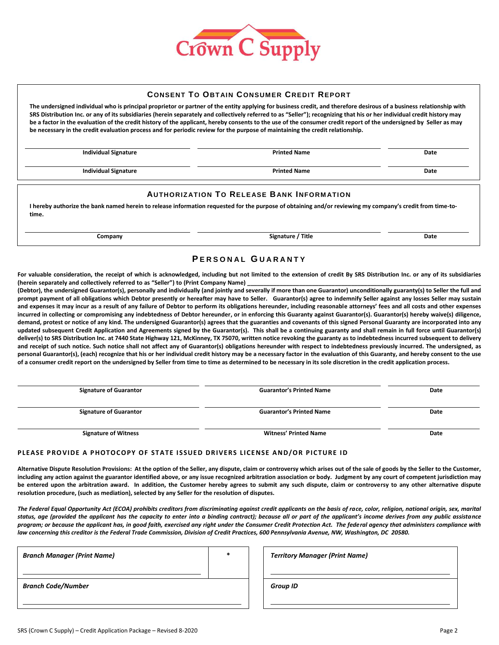

### **CONSENT TO OBTAI N CONSUMER CREDI T REPORT**

**The undersigned individual who is principal proprietor or partner of the entity applying for business credit, and therefore desirous of a business relationship with SRS Distribution Inc. or any of its subsidiaries (herein separately and collectively referred to as "Seller"); recognizing that his or her individual credit history may be a factor in the evaluation of the credit history of the applicant, hereby consents to the use of the consumer credit report of the undersigned by Seller as may be necessary in the credit evaluation process and for periodic review for the purpose of maintaining the credit relationship.**

**Individual Signature Printed Name Date Individual Signature Contract Contract Contract Printed Name Date Date Date** 

#### **AUTHORIZ ATION TO RELEASE BANK INFORM ATION**

**I hereby authorize the bank named herein to release information requested for the purpose of obtaining and/or reviewing my company's credit from time-totime.**

**Company Signature / Title Date**

## **P E R S O N A L G U A R A N T Y**

**For valuable consideration, the receipt of which is acknowledged, including but not limited to the extension of credit By SRS Distribution Inc. or any of its subsidiaries (herein separately and collectively referred to as "Seller") to (Print Company Name) \_\_\_\_\_\_\_\_\_\_\_\_\_\_\_\_\_\_\_\_\_\_\_\_\_\_\_\_\_\_\_\_\_\_\_\_\_\_\_\_\_\_\_\_\_\_\_\_\_\_\_\_\_\_\_\_\_\_\_\_\_\_\_\_\_\_\_\_\_\_\_\_** 

**(Debtor), the undersigned Guarantor(s), personally and individually (and jointly and severally if more than one Guarantor) unconditionally guaranty(s) to Seller the full and prompt payment of all obligations which Debtor presently or hereafter may have to Seller. Guarantor(s) agree to indemnify Seller against any losses Seller may sustain and expenses it may incur as a result of any failure of Debtor to perform its obligations hereunder, including reasonable attorneys' fees and all costs and other expenses**  incurred in collecting or compromising any indebtedness of Debtor hereunder, or in enforcing this Guarantor against Guarantor(s). Guarantor(s) hereby waive(s) diligence, **demand, protest or notice of any kind. The undersigned Guarantor(s) agrees that the guaranties and covenants of this signed Personal Guaranty are incorporated into any updated subsequent Credit Application and Agreements signed by the Guarantor(s). This shall be a continuing guaranty and shall remain in full force until Guarantor(s) deliver(s) to SRS Distribution Inc. at 7440 State Highway 121, McKinney, TX 75070, written notice revoking the guaranty as to indebtedness incurred subsequent to delivery and receipt of such notice. Such notice shall not affect any of Guarantor(s) obligations hereunder with respect to indebtedness previously incurred. The undersigned, as personal Guarantor(s), (each) recognize that his or her individual credit history may be a necessary factor in the evaluation of this Guaranty, and hereby consent to the use of a consumer credit report on the undersigned by Seller from time to time as determined to be necessary in its sole discretion in the credit application process.** 

| <b>Signature of Guarantor</b> | <b>Guarantor's Printed Name</b> | Date |
|-------------------------------|---------------------------------|------|
| <b>Signature of Guarantor</b> | <b>Guarantor's Printed Name</b> | Date |
| <b>Signature of Witness</b>   | <b>Witness' Printed Name</b>    | Date |

#### PLEASE PROVIDE A PHOTOCOPY OF STATE ISSUED DRIVERS LICENSE AND/OR PICTURE ID

**Alternative Dispute Resolution Provisions: At the option of the Seller, any dispute, claim or controversy which arises out of the sale of goods by the Seller to the Customer, including any action against the guarantor identified above, or any issue recognized arbitration association or body. Judgment by any court of competent jurisdiction may be entered upon the arbitration award. In addition, the Customer hereby agrees to submit any such dispute, claim or controversy to any other alternative dispute resolution procedure, (such as mediation), selected by any Seller for the resolution of disputes.**

*The Federal Equal Opportunity Act (ECOA) prohibits creditors from discriminating against credit applicants on the basis of race, color, religion, national origin, sex, marital status, age (provided the applicant has the capacity to enter into a binding contract); because all or part of the applicant's income derives from any public assistance program; or because the applicant has, in good faith, exercised any right under the Consumer Credit Protection Act. The federal agency that administers compliance with law concerning this creditor is the Federal Trade Commission, Division of Credit Practices, 600 Pennsylvania Avenue, NW, Washington, DC 20580.*

| <b>Branch Manager (Print Name)</b> | * |  | <b>Territory Manager (Print Name)</b> |
|------------------------------------|---|--|---------------------------------------|
| <b>Branch Code/Number</b>          |   |  | <b>Group ID</b>                       |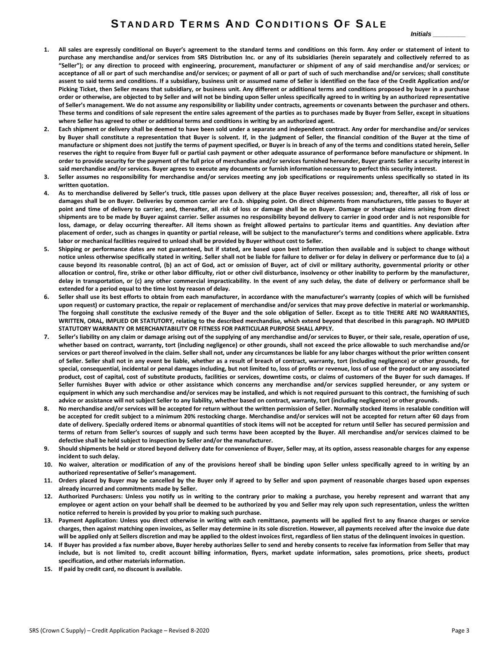*Initials \_\_\_\_\_\_\_\_\_*

- **1. All sales are expressly conditional on Buyer's agreement to the standard terms and conditions on this form. Any order or statement of intent to purchase any merchandise and/or services from SRS Distribution Inc. or any of its subsidiaries (herein separately and collectively referred to as "Seller"); or any direction to proceed with engineering, procurement, manufacturer or shipment of any of said merchandise and/or services; or acceptance of all or part of such merchandise and/or services; or payment of all or part of such of such merchandise and/or services; shall constitute assent to said terms and conditions. If a subsidiary, business unit or assumed name of Seller is identified on the face of the Credit Application and/or Picking Ticket, then Seller means that subsidiary, or business unit. Any different or additional terms and conditions proposed by buyer in a purchase order or otherwise, are objected to by Seller and will not be binding upon Seller unless specifically agreed to in writing by an authorized representative of Seller's management. We do not assume any responsibility or liability under contracts, agreements or covenants between the purchaser and others. These terms and conditions of sale represent the entire sales agreement of the parties as to purchases made by Buyer from Seller, except in situations where Seller has agreed to other or additional terms and conditions in writing by an authorized agent.**
- **2. Each shipment or delivery shall be deemed to have been sold under a separate and independent contract. Any order for merchandise and/or services by Buyer shall constitute a representation that Buyer is solvent. If, in the judgment of Seller, the financial condition of the Buyer at the time of manufacture or shipment does not justify the terms of payment specified, or Buyer is in breach of any of the terms and conditions stated herein, Seller reserves the right to require from Buyer full or partial cash payment or other adequate assurance of performance before manufacture or shipment. In order to provide security for the payment of the full price of merchandise and/or services furnished hereunder, Buyer grants Seller a security interest in said merchandise and/or services. Buyer agrees to execute any documents or furnish information necessary to perfect this security interest.**
- **3. Seller assumes no responsibility for merchandise and/or services meeting any job specifications or requirements unless specifically so stated in its written quotation.**
- **4. As to merchandise delivered by Seller's truck, title passes upon delivery at the place Buyer receives possession; and, thereafter, all risk of loss or damages shall be on Buyer. Deliveries by common carrier are f.o.b. shipping point. On direct shipments from manufacturers, title passes to Buyer at point and time of delivery to carrier; and, thereafter, all risk of loss or damage shall be on Buyer. Damage or shortage claims arising from direct shipments are to be made by Buyer against carrier. Seller assumes no responsibility beyond delivery to carrier in good order and is not responsible for loss, damage, or delay occurring thereafter. All items shown as freight allowed pertains to particular items and quantities. Any deviation after placement of order, such as changes in quantity or partial release, will be subject to the manufacturer's terms and conditions where applicable. Extra labor or mechanical facilities required to unload shall be provided by Buyer without cost to Seller.**
- **5. Shipping or performance dates are not guaranteed, but if stated, are based upon best information then available and is subject to change without notice unless otherwise specifically stated in writing. Seller shall not be liable for failure to deliver or for delay in delivery or performance due to (a) a cause beyond its reasonable control, (b) an act of God, act or omission of Buyer, act of civil or military authority, governmental priority or other allocation or control, fire, strike or other labor difficulty, riot or other civil disturbance, insolvency or other inability to perform by the manufacturer, delay in transportation, or (c) any other commercial impracticability. In the event of any such delay, the date of delivery or performance shall be extended for a period equal to the time lost by reason of delay.**
- **6. Seller shall use its best efforts to obtain from each manufacturer, in accordance with the manufacturer's warranty (copies of which will be furnished upon request) or customary practice, the repair or replacement of merchandise and/or services that may prove defective in material or workmanship. The forgoing shall constitute the exclusive remedy of the Buyer and the sole obligation of Seller. Except as to title THERE ARE NO WARRANTIES, WRITTEN, ORAL, IMPLIED OR STATUTORY, relating to the described merchandise, which extend beyond that described in this paragraph. NO IMPLIED STATUTORY WARRANTY OR MERCHANTABILITY OR FITNESS FOR PARTICULAR PURPOSE SHALL APPLY.**
- **7. Seller's liability on any claim or damage arising out of the supplying of any merchandise and/or services to Buyer, or their sale, resale, operation of use, whether based on contract, warranty, tort (including negligence) or other grounds, shall not exceed the price allowable to such merchandise and/or services or part thereof involved in the claim. Seller shall not, under any circumstances be liable for any labor charges without the prior written consent of Seller. Seller shall not in any event be liable, whether as a result of breach of contract, warranty, tort (including negligence) or other grounds, for special, consequential, incidental or penal damages including, but not limited to, loss of profits or revenue, loss of use of the product or any associated product, cost of capital, cost of substitute products, facilities or services, downtime costs, or claims of customers of the Buyer for such damages. If Seller furnishes Buyer with advice or other assistance which concerns any merchandise and/or services supplied hereunder, or any system or equipment in which any such merchandise and/or services may be installed, and which is not required pursuant to this contract, the furnishing of such advice or assistance will not subject Seller to any liability, whether based on contract, warranty, tort (including negligence) or other grounds.**
- **8. No merchandise and/or services will be accepted for return without the written permission of Seller. Normally stocked items in resalable condition will be accepted for credit subject to a minimum 20% restocking charge. Merchandise and/or services will not be accepted for return after 60 days from date of delivery. Specially ordered items or abnormal quantities of stock items will not be accepted for return until Seller has secured permission and terms of return from Seller's sources of supply and such terms have been accepted by the Buyer. All merchandise and/or services claimed to be defective shall be held subject to inspection by Seller and/or the manufacturer.**
- **9. Should shipments be held or stored beyond delivery date for convenience of Buyer, Seller may, at its option, assess reasonable charges for any expense incident to such delay.**
- **10. No waiver, alteration or modification of any of the provisions hereof shall be binding upon Seller unless specifically agreed to in writing by an authorized representative of Seller's management.**
- **11. Orders placed by Buyer may be cancelled by the Buyer only if agreed to by Seller and upon payment of reasonable charges based upon expenses already incurred and commitments made by Seller.**
- **12. Authorized Purchasers: Unless you notify us in writing to the contrary prior to making a purchase, you hereby represent and warrant that any employee or agent action on your behalf shall be deemed to be authorized by you and Seller may rely upon such representation, unless the written notice referred to herein is provided by you prior to making such purchase.**
- **13. Payment Application: Unless you direct otherwise in writing with each remittance, payments will be applied first to any finance charges or service charges, then against matching open invoices, as Seller may determine in its sole discretion. However, all payments received after the invoice due date will be applied only at Sellers discretion and may be applied to the oldest invoices first, regardless of lien status of the delinquent invoices in question.**
- **14. If Buyer has provided a fax number above, Buyer hereby authorizes Seller to send and hereby consents to receive fax information from Seller that may include, but is not limited to, credit account billing information, flyers, market update information, sales promotions, price sheets, product specification, and other materials information.**
- **15. If paid by credit card, no discount is available.**